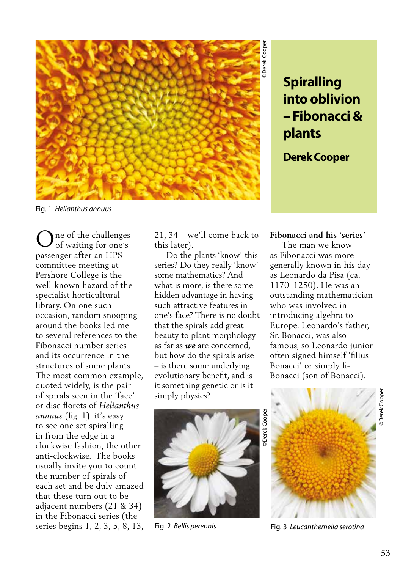

**into oblivion – Fibonacci & plants** 

**Derek Cooper**

Fig. 1 *Helianthus annuus* 

ne of the challenges of waiting for one's passenger after an HPS committee meeting at Pershore College is the well-known hazard of the specialist horticultural library. On one such occasion, random snooping around the books led me to several references to the Fibonacci number series and its occurrence in the structures of some plants. The most common example, quoted widely, is the pair of spirals seen in the 'face' or disc florets of *Helianthus annuus* (fig. 1): it's easy to see one set spiralling in from the edge in a clockwise fashion, the other anti-clockwise. The books usually invite you to count the number of spirals of each set and be duly amazed that these turn out to be adjacent numbers (21 & 34) in the Fibonacci series (the series begins 1, 2, 3, 5, 8, 13, O

21, 34 – we'll come back to this later).

 Do the plants 'know' this series? Do they really 'know' some mathematics? And what is more, is there some hidden advantage in having such attractive features in one's face? There is no doubt that the spirals add great beauty to plant morphology as far as *we* are concerned, but how do the spirals arise – is there some underlying evolutionary benefit, and is it something genetic or is it simply physics?



**Fibonacci and his 'series'**

**Spiralling**<br> **into oblivion**<br> **- Fibonacci &**<br> **plants**<br> **Derek Cooper**<br> **Cooper**<br> **Cooper**<br> **Cooper**<br> **Cooper**<br> **Cooper**<br> **Cooper**<br> **Cooper**<br> **Cooperantly known in his day**<br> **cooperantly known in his day**<br> **cooperantly k**  The man we know as Fibonacci was more generally known in his day as Leonardo da Pisa (ca. 1170–1250). He was an outstanding mathematician who was involved in introducing algebra to Europe. Leonardo's father, Sr. Bonacci, was also famous, so Leonardo junior often signed himself 'filius Bonacci' or simply fi-Bonacci (son of Bonacci).



Fig. 2 *Bellis perennis* Fig. 3 *Leucanthemella serotina*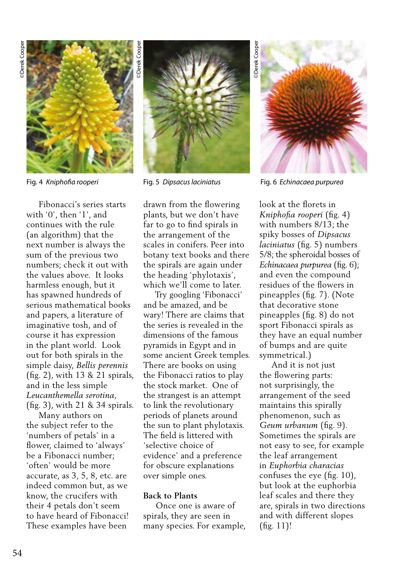

 Fibonacci's series starts with '0', then '1', and continues with the rule (an algorithm) that the next number is always the sum of the previous two numbers; check it out with the values above. It looks harmless enough, but it has spawned hundreds of serious mathematical books and papers, a literature of imaginative tosh, and of course it has expression in the plant world. Look out for both spirals in the simple daisy, *Bellis perennis* (fig. 2), with 13 & 21 spirals, and in the less simple *Leucanthemella serotina*, (fig. 3), with 21 & 34 spirals.

 Many authors on the subject refer to the 'numbers of petals' in a flower, claimed to 'always' be a Fibonacci number; 'often' would be more accurate, as 3, 5, 8, etc. are indeed common but, as we know, the crucifers with their 4 petals don't seem to have heard of Fibonacci! These examples have been



drawn from the flowering plants, but we don't have far to go to find spirals in the arrangement of the scales in conifers. Peer into botany text books and there the spirals are again under the heading 'phylotaxis', which we'll come to later.

 Try googling 'Fibonacci' and be amazed, and be wary! There are claims that the series is revealed in the dimensions of the famous pyramids in Egypt and in some ancient Greek temples. There are books on using the Fibonacci ratios to play the stock market. One of the strangest is an attempt to link the revolutionary periods of planets around the sun to plant phylotaxis. The field is littered with 'selective choice of evidence' and a preference for obscure explanations over simple ones.

## **Back to Plants**

 Once one is aware of spirals, they are seen in many species. For example,

**Derek** Cooper ©Derek Cooper

Fig. 4 *Kniphofia rooperi* Fig. 5 *Dipsacus laciniatus* Fig. 6 *Echinacaea purpurea* 

look at the florets in *Kniphofia rooperi* (fig. 4) with numbers 8/13; the spiky bosses of *Dipsacus laciniatus* (fig. 5) numbers 5/8; the spheroidal bosses of *Echinacaea purpurea* (fig. 6); and even the compound residues of the flowers in pineapples (fig. 7). (Note that decorative stone pineapples (fig. 8) do not sport Fibonacci spirals as they have an equal number of bumps and are quite symmetrical.)

 And it is not just the flowering parts: not surprisingly, the arrangement of the seed maintains this spirally phenomenon, such as *Geum urbanum* (fig. 9). Sometimes the spirals are not easy to see, for example the leaf arrangement in *Euphorbia characias*  confuses the eye (fig. 10), but look at the euphorbia leaf scales and there they are, spirals in two directions and with different slopes (fig. 11)!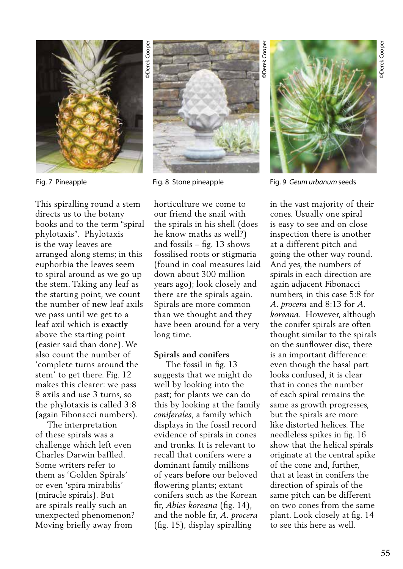

This spiralling round a stem directs us to the botany books and to the term "spiral phylotaxis". Phylotaxis is the way leaves are arranged along stems; in this euphorbia the leaves seem to spiral around as we go up the stem. Taking any leaf as the starting point, we count the number of **new** leaf axils we pass until we get to a leaf axil which is **exactly** above the starting point (easier said than done). We also count the number of 'complete turns around the stem' to get there. Fig. 12 makes this clearer: we pass 8 axils and use 3 turns, so the phylotaxis is called 3:8 (again Fibonacci numbers).

 The interpretation of these spirals was a challenge which left even Charles Darwin baffled. Some writers refer to them as 'Golden Spirals' or even 'spira mirabilis' (miracle spirals). But are spirals really such an unexpected phenomenon? Moving briefly away from



horticulture we come to our friend the snail with the spirals in his shell (does he know maths as well?) and fossils – fig. 13 shows fossilised roots or stigmaria (found in coal measures laid down about 300 million years ago); look closely and there are the spirals again. Spirals are more common than we thought and they have been around for a very long time.

### **Spirals and conifers**

 The fossil in fig. 13 suggests that we might do well by looking into the past; for plants we can do this by looking at the family *coniferales*, a family which displays in the fossil record evidence of spirals in cones and trunks. It is relevant to recall that conifers were a dominant family millions of years **before** our beloved flowering plants; extant conifers such as the Korean fir, *Abies koreana* (fig. 14), and the noble fir, *A. procera* (fig. 15), display spiralling



Fig. 7 Pineapple Fig. 8 Stone pineapple Fig. 9 *Geum urbanum* seeds

in the vast majority of their cones. Usually one spiral is easy to see and on close inspection there is another at a different pitch and going the other way round. And yes, the numbers of spirals in each direction are again adjacent Fibonacci numbers, in this case 5:8 for *A. procera* and 8:13 for *A. koreana*. However, although the conifer spirals are often thought similar to the spirals on the sunflower disc, there is an important difference: even though the basal part looks confused, it is clear that in cones the number of each spiral remains the same as growth progresses, but the spirals are more like distorted helices. The needleless spikes in fig. 16 show that the helical spirals originate at the central spike of the cone and, further, that at least in conifers the direction of spirals of the same pitch can be different on two cones from the same plant. Look closely at fig. 14 to see this here as well.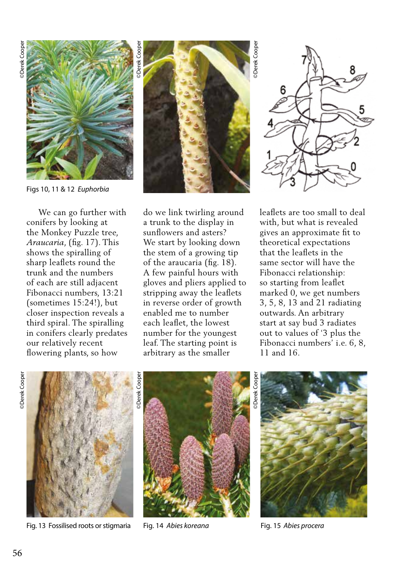

Figs 10, 11 & 12 *Euphorbia* 

 We can go further with conifers by looking at the Monkey Puzzle tree, *Araucaria*, (fig. 17). This shows the spiralling of sharp leaflets round the trunk and the numbers of each are still adjacent Fibonacci numbers, 13:21 (sometimes 15:24!), but closer inspection reveals a third spiral. The spiralling in conifers clearly predates our relatively recent flowering plants, so how



do we link twirling around a trunk to the display in sunflowers and asters? We start by looking down the stem of a growing tip of the araucaria (fig. 18). A few painful hours with gloves and pliers applied to stripping away the leaflets in reverse order of growth enabled me to number each leaflet, the lowest number for the youngest leaf. The starting point is arbitrary as the smaller

6

leaflets are too small to deal with, but what is revealed gives an approximate fit to theoretical expectations that the leaflets in the same sector will have the Fibonacci relationship: so starting from leaflet marked 0, we get numbers 3, 5, 8, 13 and 21 radiating outwards. An arbitrary start at say bud 3 radiates out to values of '3 plus the Fibonacci numbers' i.e. 6, 8, 11 and 16.



Fig. 13 Fossilised roots or stigmaria Fig. 14 *Abies koreana* Fig. 15 *Abies procera* 



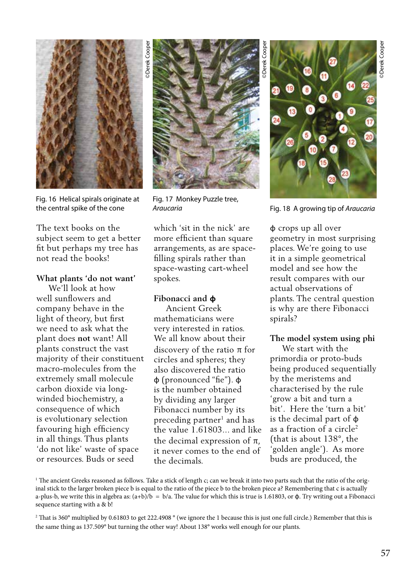

Fig. 16 Helical spirals originate at the central spike of the cone

The text books on the subject seem to get a better fit but perhaps my tree has not read the books!

### **What plants 'do not want'**

The text is the same that the same that is the same through turning the same that is the same to be a subject to the other way interest of the other way in the same of the other way in the same of the origin of the same o We'll look at how well sunflowers and company behave in the light of theory, but first we need to ask what the plant does **not** want! All plants construct the vast majority of their constituent macro-molecules from the extremely small molecule carbon dioxide via longwinded biochemistry, a consequence of which is evolutionary selection favouring high efficiency in all things. Thus plants 'do not like' waste of space or resources. Buds or seed



Fig. 17 Monkey Puzzle tree,<br>Araucaria

which 'sit in the nick' are more efficient than square arrangements, as are spacefilling spirals rather than space-wasting cart-wheel spokes.

## **Fibonacci and ɸ**

 Ancient Greek mathematicians were very interested in ratios. We all know about their discovery of the ratio π for circles and spheres; they also discovered the ratio ɸ (pronounced "fie"). ɸ is the number obtained by dividing any larger Fibonacci number by its preceding partner<sup>1</sup> and has the value 1.61803... and like the decimal expression of  $\pi$ , it never comes to the end of the decimals.



*Araucaria* Fig. 18 A growing tip of *Araucaria* 

ɸ crops up all over geometry in most surprising places. We're going to use it in a simple geometrical model and see how the result compares with our actual observations of plants. The central question is why are there Fibonacci spirals?

# **The model system using phi**

 We start with the primordia or proto-buds being produced sequentially by the meristems and characterised by the rule 'grow a bit and turn a bit'. Here the 'turn a bit' is the decimal part of ɸ as a fraction of a circle<sup>2</sup> (that is about 138°, the 'golden angle'). As more buds are produced, the

<sup>1</sup> The ancient Greeks reasoned as follows. Take a stick of length c; can we break it into two parts such that the ratio of the original stick to the larger broken piece b is equal to the ratio of the piece b to the broken piece a? Remembering that c is actually a-plus-b, we write this in algebra as:  $(a+b)/b = b/a$ . The value for which this is true is 1.61803, or  $\phi$ . Try writing out a Fibonacci sequence starting with a & b!

<sup>2</sup> That is 360° multiplied by 0.61803 to get 222.4908 ° (we ignore the 1 because this is just one full circle.) Remember that this is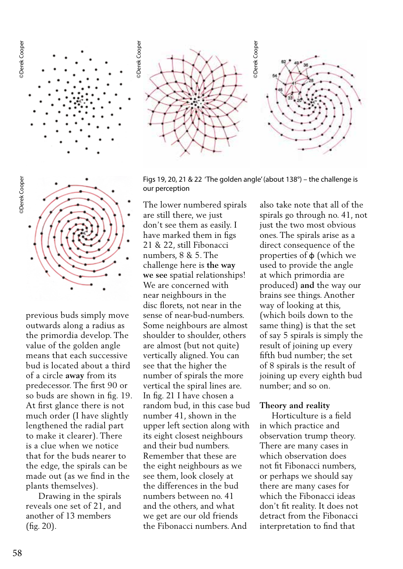



previous buds simply move outwards along a radius as the primordia develop. The value of the golden angle means that each successive bud is located about a third of a circle **away** from its predecessor. The first 90 or so buds are shown in fig. 19. At first glance there is not much order (I have slightly lengthened the radial part to make it clearer). There is a clue when we notice that for the buds nearer to the edge, the spirals can be made out (as we find in the plants themselves).

 Drawing in the spirals reveals one set of 21, and another of 13 members (fig. 20).

Figs 19, 20, 21 & 22 'The golden angle' (about 138°) – the challenge is our perception

The lower numbered spirals are still there, we just don't see them as easily. I have marked them in figs 21 & 22, still Fibonacci numbers, 8 & 5. The challenge here is **the way we see** spatial relationships! We are concerned with near neighbours in the disc florets, not near in the sense of near-bud-numbers. Some neighbours are almost shoulder to shoulder, others are almost (but not quite) vertically aligned. You can see that the higher the number of spirals the more vertical the spiral lines are. In fig. 21 I have chosen a random bud, in this case bud number 41, shown in the upper left section along with its eight closest neighbours and their bud numbers. Remember that these are the eight neighbours as we see them, look closely at the differences in the bud numbers between no. 41 and the others, and what we get are our old friends the Fibonacci numbers. And

also take note that all of the spirals go through no. 41, not just the two most obvious ones. The spirals arise as a direct consequence of the properties of ɸ (which we used to provide the angle at which primordia are produced) **and** the way our brains see things. Another way of looking at this, (which boils down to the same thing) is that the set of say 5 spirals is simply the result of joining up every fifth bud number; the set of 8 spirals is the result of joining up every eighth bud number; and so on.

### **Theory and reality**

 Horticulture is a field in which practice and observation trump theory. There are many cases in which observation does not fit Fibonacci numbers, or perhaps we should say there are many cases for which the Fibonacci ideas don't fit reality. It does not detract from the Fibonacci interpretation to find that